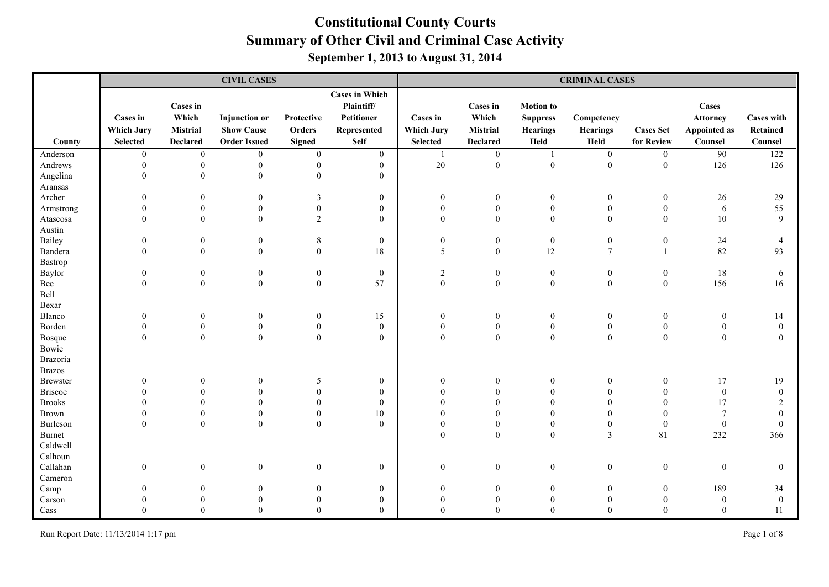|                 |                                                  |                                                         | <b>CIVIL CASES</b>                                               |                                       |                                                                                 | <b>CRIMINAL CASES</b>                            |                                                                |                                                                |                                       |                                |                                                     |                                          |  |
|-----------------|--------------------------------------------------|---------------------------------------------------------|------------------------------------------------------------------|---------------------------------------|---------------------------------------------------------------------------------|--------------------------------------------------|----------------------------------------------------------------|----------------------------------------------------------------|---------------------------------------|--------------------------------|-----------------------------------------------------|------------------------------------------|--|
| County          | Cases in<br><b>Which Jury</b><br><b>Selected</b> | Cases in<br>Which<br><b>Mistrial</b><br><b>Declared</b> | <b>Injunction</b> or<br><b>Show Cause</b><br><b>Order Issued</b> | Protective<br>Orders<br><b>Signed</b> | <b>Cases in Which</b><br>Plaintiff/<br>Petitioner<br>Represented<br><b>Self</b> | Cases in<br><b>Which Jury</b><br><b>Selected</b> | <b>Cases in</b><br>Which<br><b>Mistrial</b><br><b>Declared</b> | <b>Motion</b> to<br><b>Suppress</b><br><b>Hearings</b><br>Held | Competency<br><b>Hearings</b><br>Held | <b>Cases Set</b><br>for Review | Cases<br><b>Attorney</b><br>Appointed as<br>Counsel | <b>Cases with</b><br>Retained<br>Counsel |  |
| Anderson        | $\mathbf{0}$                                     | $\boldsymbol{0}$                                        | $\overline{0}$                                                   | $\boldsymbol{0}$                      | $\mathbf{0}$                                                                    | -1                                               | $\mathbf{0}$                                                   | -1                                                             | $\mathbf{0}$                          | $\boldsymbol{0}$               | 90                                                  | 122                                      |  |
| Andrews         | $\mathbf{0}$                                     | $\boldsymbol{0}$                                        | $\boldsymbol{0}$                                                 | $\boldsymbol{0}$                      | $\mathbf{0}$                                                                    | $20\,$                                           | $\boldsymbol{0}$                                               | $\mathbf{0}$                                                   | $\boldsymbol{0}$                      | $\boldsymbol{0}$               | 126                                                 | 126                                      |  |
| Angelina        | $\mathbf{0}$                                     | $\boldsymbol{0}$                                        | $\boldsymbol{0}$                                                 | $\overline{0}$                        | $\boldsymbol{0}$                                                                |                                                  |                                                                |                                                                |                                       |                                |                                                     |                                          |  |
| Aransas         |                                                  |                                                         |                                                                  |                                       |                                                                                 |                                                  |                                                                |                                                                |                                       |                                |                                                     |                                          |  |
| Archer          | $\theta$                                         | $\theta$                                                | $\Omega$                                                         | 3                                     | $\mathbf{0}$                                                                    | $\overline{0}$                                   | $\mathbf{0}$                                                   | $\overline{0}$                                                 | $\overline{0}$                        | $\boldsymbol{0}$               | 26                                                  | 29                                       |  |
| Armstrong       | $\mathbf{0}$                                     | $\Omega$                                                | $\mathbf{0}$                                                     | $\boldsymbol{0}$                      | $\boldsymbol{0}$                                                                | $\overline{0}$                                   | $\boldsymbol{0}$                                               | $\boldsymbol{0}$                                               | $\boldsymbol{0}$                      | $\boldsymbol{0}$               | $\sqrt{6}$                                          | 55                                       |  |
| Atascosa        | $\theta$                                         | $\mathbf{0}$                                            | $\mathbf{0}$                                                     | 2                                     | $\theta$                                                                        | $\mathbf{0}$                                     | $\theta$                                                       | $\mathbf{0}$                                                   | $\theta$                              | $\mathbf{0}$                   | $10\,$                                              | 9                                        |  |
| Austin          |                                                  |                                                         |                                                                  |                                       |                                                                                 |                                                  |                                                                |                                                                |                                       |                                |                                                     |                                          |  |
| Bailey          | $\theta$                                         | $\boldsymbol{0}$                                        | $\boldsymbol{0}$                                                 | $\,8\,$                               | $\boldsymbol{0}$                                                                | $\boldsymbol{0}$                                 | $\boldsymbol{0}$                                               | $\mathbf{0}$                                                   | $\boldsymbol{0}$                      | $\boldsymbol{0}$               | $24\,$                                              | $\overline{4}$                           |  |
| Bandera         | $\Omega$                                         | $\theta$                                                | $\mathbf{0}$                                                     | $\overline{0}$                        | 18                                                                              | 5                                                | $\mathbf{0}$                                                   | 12                                                             | $\tau$                                | $\overline{1}$                 | 82                                                  | 93                                       |  |
| Bastrop         |                                                  |                                                         |                                                                  |                                       |                                                                                 |                                                  |                                                                |                                                                |                                       |                                |                                                     |                                          |  |
| Baylor          | $\Omega$                                         | $\boldsymbol{0}$                                        | $\mathbf{0}$                                                     | $\mathbf{0}$                          | $\mathbf{0}$                                                                    | $\overline{2}$                                   | $\mathbf{0}$                                                   | $\boldsymbol{0}$                                               | $\mathbf{0}$                          | $\mathbf{0}$                   | $18\,$                                              | 6                                        |  |
| Bee             | $\Omega$                                         | $\mathbf{0}$                                            | $\mathbf{0}$                                                     | $\mathbf{0}$                          | 57                                                                              | $\boldsymbol{0}$                                 | $\boldsymbol{0}$                                               | $\mathbf{0}$                                                   | $\boldsymbol{0}$                      | $\boldsymbol{0}$               | 156                                                 | 16                                       |  |
| Bell            |                                                  |                                                         |                                                                  |                                       |                                                                                 |                                                  |                                                                |                                                                |                                       |                                |                                                     |                                          |  |
| Bexar           |                                                  |                                                         |                                                                  |                                       |                                                                                 |                                                  |                                                                |                                                                |                                       |                                |                                                     |                                          |  |
| Blanco          | $\overline{0}$                                   | $\boldsymbol{0}$                                        | $\overline{0}$                                                   | $\boldsymbol{0}$                      | 15                                                                              | $\boldsymbol{0}$                                 | $\boldsymbol{0}$                                               | $\boldsymbol{0}$                                               | $\mathbf{0}$                          | $\boldsymbol{0}$               | $\boldsymbol{0}$                                    | 14                                       |  |
| Borden          | $\Omega$                                         | $\boldsymbol{0}$                                        | $\mathbf{0}$                                                     | $\boldsymbol{0}$                      | $\boldsymbol{0}$                                                                | $\boldsymbol{0}$                                 | $\boldsymbol{0}$                                               | $\boldsymbol{0}$                                               | $\boldsymbol{0}$                      | $\boldsymbol{0}$               | $\boldsymbol{0}$                                    | $\mathbf{0}$                             |  |
| Bosque          | $\Omega$                                         | $\boldsymbol{0}$                                        | $\theta$                                                         | $\overline{0}$                        | $\theta$                                                                        | $\Omega$                                         | $\boldsymbol{0}$                                               | $\mathbf{0}$                                                   | $\boldsymbol{0}$                      | $\mathbf{0}$                   | $\mathbf{0}$                                        | $\Omega$                                 |  |
| Bowie           |                                                  |                                                         |                                                                  |                                       |                                                                                 |                                                  |                                                                |                                                                |                                       |                                |                                                     |                                          |  |
| Brazoria        |                                                  |                                                         |                                                                  |                                       |                                                                                 |                                                  |                                                                |                                                                |                                       |                                |                                                     |                                          |  |
| <b>Brazos</b>   |                                                  |                                                         |                                                                  |                                       |                                                                                 |                                                  |                                                                |                                                                |                                       |                                |                                                     |                                          |  |
| <b>Brewster</b> | $\Omega$                                         | $\boldsymbol{0}$                                        | $\theta$                                                         | 5                                     | $\boldsymbol{0}$                                                                | $\overline{0}$                                   | $\theta$                                                       | $\boldsymbol{0}$                                               | $\theta$                              | $\boldsymbol{0}$               | 17                                                  | 19                                       |  |
| <b>Briscoe</b>  | $\Omega$                                         | $\Omega$                                                | $\theta$                                                         | $\mathbf{0}$                          | $\mathbf{0}$                                                                    | $\Omega$                                         | $\Omega$                                                       | $\theta$                                                       | $\Omega$                              | $\theta$                       | $\boldsymbol{0}$                                    | $\theta$                                 |  |
| <b>Brooks</b>   | $\Omega$                                         | $\Omega$                                                | $\theta$                                                         | $\boldsymbol{0}$                      | $\boldsymbol{0}$                                                                | $\theta$                                         | $\theta$                                                       | $\theta$                                                       | $\theta$                              | $\mathbf{0}$                   | 17                                                  | $\overline{c}$                           |  |
| Brown           | $\Omega$                                         | $\theta$                                                | $\mathbf{0}$                                                     | $\boldsymbol{0}$                      | $10\,$                                                                          | $\Omega$                                         | $\theta$                                                       | $\theta$                                                       | $\Omega$                              | $\mathbf{0}$                   | $\overline{7}$                                      | $\Omega$                                 |  |
| Burleson        | $\Omega$                                         | $\mathbf{0}$                                            | $\theta$                                                         | $\theta$                              | $\theta$                                                                        | $\overline{0}$                                   | $\theta$                                                       | $\overline{0}$                                                 | $\theta$                              | $\boldsymbol{0}$               | $\boldsymbol{0}$                                    | $\mathbf{0}$                             |  |
| <b>Burnet</b>   |                                                  |                                                         |                                                                  |                                       |                                                                                 | $\overline{0}$                                   | $\theta$                                                       | $\mathbf{0}$                                                   | 3                                     | 81                             | 232                                                 | 366                                      |  |
| Caldwell        |                                                  |                                                         |                                                                  |                                       |                                                                                 |                                                  |                                                                |                                                                |                                       |                                |                                                     |                                          |  |
| Calhoun         |                                                  |                                                         |                                                                  |                                       |                                                                                 |                                                  |                                                                |                                                                |                                       |                                |                                                     |                                          |  |
| Callahan        | $\boldsymbol{0}$                                 | $\boldsymbol{0}$                                        | $\mathbf{0}$                                                     | $\mathbf{0}$                          | $\boldsymbol{0}$                                                                | $\mathbf{0}$                                     | $\boldsymbol{0}$                                               | $\boldsymbol{0}$                                               | $\boldsymbol{0}$                      | $\boldsymbol{0}$               | $\boldsymbol{0}$                                    | $\mathbf{0}$                             |  |
| Cameron         | $\Omega$                                         | $\theta$                                                | $\Omega$                                                         |                                       |                                                                                 |                                                  | $\theta$                                                       | $\theta$                                                       | $\mathbf{0}$                          |                                | 189                                                 |                                          |  |
| Camp<br>Carson  |                                                  |                                                         |                                                                  | $\boldsymbol{0}$<br>$\theta$          | $\mathbf{0}$<br>$\mathbf{0}$                                                    | $\overline{0}$<br>$\Omega$                       | $\Omega$                                                       |                                                                | $\Omega$                              | $\mathbf{0}$<br>$\Omega$       | $\mathbf{0}$                                        | 34<br>$\theta$                           |  |
|                 |                                                  | $\Omega$                                                | $\Omega$                                                         | $\Omega$                              | $\Omega$                                                                        | 0                                                | $\Omega$                                                       | $\Omega$                                                       | $\Omega$                              | $\Omega$                       | $\Omega$                                            | 11                                       |  |
| Cass            |                                                  |                                                         |                                                                  |                                       |                                                                                 |                                                  |                                                                |                                                                |                                       |                                |                                                     |                                          |  |

Run Report Date: 11/13/2014 1:17 pm Page 1 of 8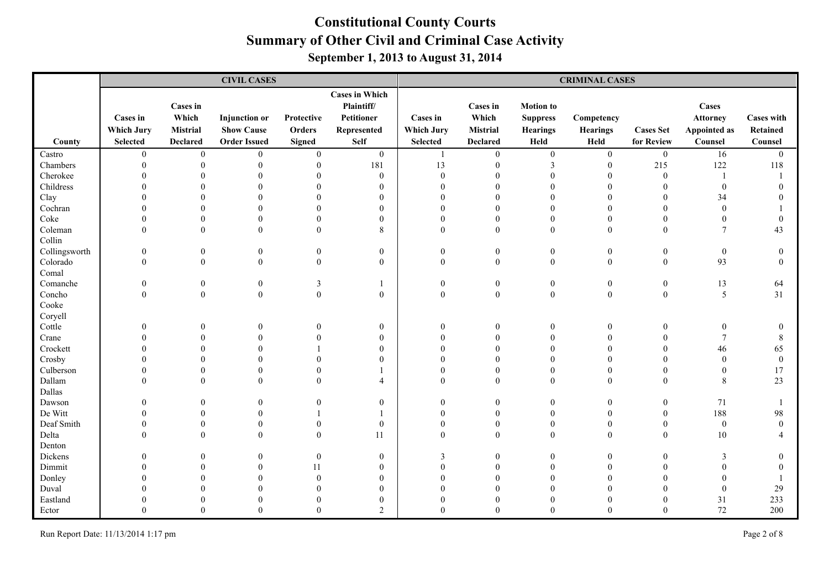|               |                                      |                                      | <b>CIVIL CASES</b>                        |                      |                                                                  |                                      |                                             |                                                 | <b>CRIMINAL CASES</b>         |                  |                                          |                                      |
|---------------|--------------------------------------|--------------------------------------|-------------------------------------------|----------------------|------------------------------------------------------------------|--------------------------------------|---------------------------------------------|-------------------------------------------------|-------------------------------|------------------|------------------------------------------|--------------------------------------|
|               | <b>Cases in</b><br><b>Which Jury</b> | <b>Cases in</b><br>Which<br>Mistrial | <b>Injunction</b> or<br><b>Show Cause</b> | Protective<br>Orders | <b>Cases in Which</b><br>Plaintiff/<br>Petitioner<br>Represented | <b>Cases</b> in<br><b>Which Jury</b> | <b>Cases in</b><br>Which<br><b>Mistrial</b> | <b>Motion</b> to<br><b>Suppress</b><br>Hearings | Competency<br><b>Hearings</b> | <b>Cases Set</b> | Cases<br><b>Attorney</b><br>Appointed as | <b>Cases with</b><br><b>Retained</b> |
| County        | <b>Selected</b>                      | <b>Declared</b>                      | <b>Order Issued</b>                       | <b>Signed</b>        | <b>Self</b>                                                      | <b>Selected</b>                      | <b>Declared</b>                             | Held                                            | Held                          | for Review       | Counsel                                  | Counsel                              |
| Castro        | $\mathbf{0}$                         | $\boldsymbol{0}$                     | $\mathbf{0}$                              | $\boldsymbol{0}$     | $\overline{0}$                                                   |                                      | $\mathbf{0}$                                | $\boldsymbol{0}$                                | $\boldsymbol{0}$              | $\boldsymbol{0}$ | 16                                       | $\overline{0}$                       |
| Chambers      | $\theta$                             | $\theta$                             | $\overline{0}$                            | $\theta$             | 181                                                              | 13                                   | $\mathbf{0}$                                | $\mathfrak{Z}$                                  | $\boldsymbol{0}$              | 215              | 122                                      | 118                                  |
| Cherokee      |                                      | $\Omega$                             | $\theta$                                  | $\Omega$             | $\mathbf{0}$                                                     | $\boldsymbol{0}$                     | $\Omega$                                    | $\theta$                                        | $\Omega$                      | $\mathbf{0}$     |                                          |                                      |
| Childress     |                                      |                                      | $\Omega$                                  |                      | $\theta$                                                         | $\Omega$                             | $\Omega$                                    | $\Omega$                                        | $\Omega$                      | $\Omega$         | $\theta$                                 | $\Omega$                             |
| Clay          |                                      |                                      | $\Omega$                                  |                      | $\overline{0}$                                                   | $\Omega$                             | $\theta$                                    | $\Omega$                                        | $\Omega$                      | $\Omega$         | 34                                       |                                      |
| Cochran       |                                      |                                      | $\sqrt{ }$                                |                      | $\Omega$                                                         | $\Omega$                             | $\Omega$                                    | $\Omega$                                        |                               | $\Omega$         | $\Omega$                                 |                                      |
| Coke          |                                      |                                      | $\Omega$                                  |                      | $\overline{0}$                                                   | $\Omega$                             | $\Omega$                                    | $\Omega$                                        | $\theta$                      | $\theta$         | $\Omega$                                 | $\theta$                             |
| Coleman       |                                      | $\overline{0}$                       | $\mathbf{0}$                              | $\theta$             | 8                                                                | $\overline{0}$                       | $\mathbf{0}$                                | $\mathbf{0}$                                    | $\overline{0}$                | $\mathbf{0}$     | $\tau$                                   | 43                                   |
| Collin        |                                      |                                      |                                           |                      |                                                                  |                                      |                                             |                                                 |                               |                  |                                          |                                      |
| Collingsworth | $\mathbf{0}$                         | $\boldsymbol{0}$                     | $\boldsymbol{0}$                          | $\boldsymbol{0}$     | $\boldsymbol{0}$                                                 | $\boldsymbol{0}$                     | $\boldsymbol{0}$                            | $\boldsymbol{0}$                                | $\boldsymbol{0}$              | $\boldsymbol{0}$ | $\boldsymbol{0}$                         | $\boldsymbol{0}$                     |
| Colorado      | $\Omega$                             | $\mathbf{0}$                         | $\mathbf{0}$                              | $\mathbf{0}$         | $\mathbf{0}$                                                     | $\theta$                             | $\mathbf{0}$                                | $\boldsymbol{0}$                                | $\mathbf{0}$                  | $\mathbf{0}$     | 93                                       | $\theta$                             |
| Comal         |                                      |                                      |                                           |                      |                                                                  |                                      |                                             |                                                 |                               |                  |                                          |                                      |
| Comanche      | $\theta$                             | $\boldsymbol{0}$                     | $\boldsymbol{0}$                          | 3                    |                                                                  | $\overline{0}$                       | $\boldsymbol{0}$                            | $\boldsymbol{0}$                                | $\boldsymbol{0}$              | $\boldsymbol{0}$ | 13                                       | 64                                   |
| Concho        | $\Omega$                             | $\theta$                             | $\mathbf{0}$                              | $\boldsymbol{0}$     | $\mathbf{0}$                                                     | $\Omega$                             | $\mathbf{0}$                                | $\theta$                                        | $\overline{0}$                | $\mathbf{0}$     | $\mathfrak{S}$                           | 31                                   |
| Cooke         |                                      |                                      |                                           |                      |                                                                  |                                      |                                             |                                                 |                               |                  |                                          |                                      |
| Coryell       |                                      |                                      |                                           |                      |                                                                  |                                      |                                             |                                                 |                               |                  |                                          |                                      |
| Cottle        |                                      | $\Omega$                             |                                           | $\Omega$             | $\mathbf{0}$                                                     | $\theta$                             | $\theta$                                    | $\theta$                                        | 0                             | $\mathbf{0}$     | $\theta$                                 | $\theta$                             |
| Crane         |                                      |                                      |                                           |                      | $\overline{0}$                                                   | $\Omega$                             | $\theta$                                    | $\Omega$                                        |                               | $\Omega$         |                                          | $\,$ 8 $\,$                          |
| Crockett      |                                      | $\Omega$                             | $\Omega$                                  |                      | $\theta$                                                         | $\Omega$                             | $\Omega$                                    | $\Omega$                                        |                               | $\Omega$         | 46                                       | 65                                   |
| Crosby        |                                      |                                      |                                           |                      | $\theta$                                                         | $\theta$                             | $\theta$                                    | $\Omega$                                        |                               | $\Omega$         | $\Omega$                                 | $\mathbf{0}$                         |
| Culberson     |                                      | $\theta$                             | $\Omega$                                  |                      |                                                                  | $\Omega$                             | $\Omega$                                    | $\theta$                                        |                               | $\theta$         | $\theta$                                 | 17                                   |
| Dallam        |                                      | $\Omega$                             | $\theta$                                  | $\theta$             | 4                                                                | $\theta$                             | $\theta$                                    | $\theta$                                        | $\Omega$                      | $\theta$         | $\,$ 8 $\,$                              | 23                                   |
| Dallas        |                                      |                                      |                                           |                      |                                                                  |                                      |                                             |                                                 |                               |                  |                                          |                                      |
| Dawson        |                                      | $\Omega$                             | $\Omega$                                  | $\Omega$             | $\overline{0}$                                                   | $\Omega$                             | $\mathbf{0}$                                | $\theta$                                        | $\theta$                      | $\boldsymbol{0}$ | 71                                       |                                      |
| De Witt       |                                      |                                      | $\theta$                                  |                      |                                                                  | $\theta$                             | $\theta$                                    | $\theta$                                        | $\theta$                      | $\boldsymbol{0}$ | 188                                      | 98                                   |
| Deaf Smith    |                                      | $\Omega$                             | $\theta$                                  | $\Omega$             | $\mathbf{0}$                                                     | $\Omega$                             | $\theta$                                    | $\theta$                                        | $\Omega$                      | $\theta$         | $\boldsymbol{0}$                         | $\Omega$                             |
| Delta         |                                      | $\Omega$                             | $\theta$                                  | $\theta$             | 11                                                               | $\Omega$                             | $\theta$                                    | $\Omega$                                        | $\theta$                      | $\theta$         | 10                                       |                                      |
| Denton        |                                      |                                      |                                           |                      |                                                                  |                                      |                                             |                                                 |                               |                  |                                          |                                      |
| Dickens       |                                      | $\theta$                             | $\theta$                                  | $\boldsymbol{0}$     | 0                                                                | 3                                    | $\mathbf{0}$                                | $\boldsymbol{0}$                                | $\overline{0}$                | $\boldsymbol{0}$ | 3                                        | $\boldsymbol{0}$                     |
| Dimmit        |                                      | $\Omega$                             | $\theta$                                  | 11                   | $\boldsymbol{0}$                                                 | $\theta$                             | $\theta$                                    | $\theta$                                        |                               | $\theta$         | $\theta$                                 | $\mathbf{0}$                         |
| Donley        |                                      |                                      | $\Omega$                                  | $\Omega$             | $\theta$                                                         | $\Omega$                             | $\Omega$                                    | $\Omega$                                        |                               | $\Omega$         |                                          |                                      |
| Duval         |                                      |                                      |                                           |                      | $\Omega$                                                         |                                      | $\Omega$                                    | $\Omega$                                        |                               |                  | $\theta$                                 | 29                                   |
| Eastland      |                                      |                                      |                                           |                      | $\Omega$                                                         |                                      |                                             |                                                 |                               | $\Omega$         | 31                                       | 233                                  |
| Ector         |                                      |                                      | $\Omega$                                  |                      | $\mathfrak{D}$                                                   | U                                    | $\Omega$                                    | $\Omega$                                        | 0                             | $\Omega$         | 72                                       | 200                                  |

Run Report Date: 11/13/2014 1:17 pm Page 2 of 8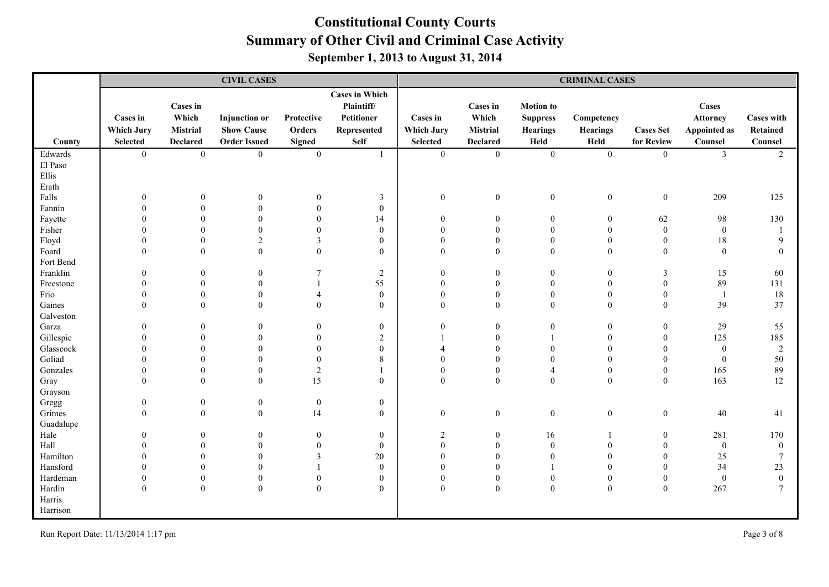|                 |                                                         |                                                  | <b>CIVIL CASES</b>                                               |                                       |                                                                                 |                                                  |                                                                |                                                                | <b>CRIMINAL CASES</b>                 |                                  |                                                            |                                          |
|-----------------|---------------------------------------------------------|--------------------------------------------------|------------------------------------------------------------------|---------------------------------------|---------------------------------------------------------------------------------|--------------------------------------------------|----------------------------------------------------------------|----------------------------------------------------------------|---------------------------------------|----------------------------------|------------------------------------------------------------|------------------------------------------|
| County          | <b>Cases</b> in<br><b>Which Jury</b><br><b>Selected</b> | Cases in<br>Which<br>Mistrial<br><b>Declared</b> | <b>Injunction</b> or<br><b>Show Cause</b><br><b>Order Issued</b> | Protective<br>Orders<br><b>Signed</b> | <b>Cases in Which</b><br>Plaintiff/<br>Petitioner<br>Represented<br><b>Self</b> | Cases in<br><b>Which Jury</b><br><b>Selected</b> | <b>Cases in</b><br>Which<br><b>Mistrial</b><br><b>Declared</b> | <b>Motion</b> to<br><b>Suppress</b><br><b>Hearings</b><br>Held | Competency<br><b>Hearings</b><br>Held | <b>Cases Set</b><br>for Review   | Cases<br><b>Attorney</b><br><b>Appointed as</b><br>Counsel | <b>Cases with</b><br>Retained<br>Counsel |
| Edwards         | $\overline{0}$                                          | $\boldsymbol{0}$                                 | $\overline{0}$                                                   | $\mathbf{0}$                          | $\overline{1}$                                                                  | $\overline{0}$                                   | $\mathbf{0}$                                                   | $\mathbf{0}$                                                   | $\mathbf{0}$                          | $\boldsymbol{0}$                 | $\mathfrak{Z}$                                             | 2                                        |
| El Paso         |                                                         |                                                  |                                                                  |                                       |                                                                                 |                                                  |                                                                |                                                                |                                       |                                  |                                                            |                                          |
| Ellis           |                                                         |                                                  |                                                                  |                                       |                                                                                 |                                                  |                                                                |                                                                |                                       |                                  |                                                            |                                          |
| Erath           |                                                         |                                                  |                                                                  |                                       |                                                                                 |                                                  |                                                                |                                                                |                                       |                                  |                                                            |                                          |
| Falls           | $\theta$                                                |                                                  | $\theta$                                                         | $\boldsymbol{0}$                      | $\mathfrak{Z}$                                                                  | $\overline{0}$                                   | $\boldsymbol{0}$                                               | $\boldsymbol{0}$                                               | $\boldsymbol{0}$                      | $\boldsymbol{0}$                 | 209                                                        | 125                                      |
| Fannin          |                                                         |                                                  | $\theta$                                                         | $\boldsymbol{0}$                      | $\boldsymbol{0}$                                                                |                                                  |                                                                |                                                                |                                       |                                  |                                                            |                                          |
| Fayette         |                                                         |                                                  | $\Omega$<br>$\Omega$                                             | $\theta$                              | 14                                                                              | $\boldsymbol{0}$                                 | $\theta$                                                       | $\mathbf{0}$                                                   | $\overline{0}$                        | 62                               | 98                                                         | 130                                      |
| Fisher<br>Floyd |                                                         |                                                  | $\mathfrak{D}$                                                   | $\boldsymbol{0}$<br>3                 | $\boldsymbol{0}$<br>$\mathbf{0}$                                                | $\theta$<br>$\Omega$                             | $\Omega$                                                       | $\theta$<br>$\theta$                                           | $\theta$<br>$\Omega$                  | $\boldsymbol{0}$<br>$\mathbf{0}$ | $\boldsymbol{0}$<br>18                                     | 9                                        |
| Foard           | $\Omega$                                                | $\theta$                                         | $\mathbf{0}$                                                     | $\mathbf{0}$                          | $\mathbf{0}$                                                                    | $\overline{0}$                                   | $\Omega$                                                       | $\mathbf{0}$                                                   | $\mathbf{0}$                          | $\mathbf{0}$                     | $\boldsymbol{0}$                                           | $\theta$                                 |
| Fort Bend       |                                                         |                                                  |                                                                  |                                       |                                                                                 |                                                  |                                                                |                                                                |                                       |                                  |                                                            |                                          |
| Franklin        | $\Omega$                                                |                                                  | $\theta$                                                         | 7                                     | $\sqrt{2}$                                                                      | $\theta$                                         | $\Omega$                                                       | $\Omega$                                                       | $\theta$                              | $\overline{3}$                   | 15                                                         | 60                                       |
| Freestone       | 0                                                       |                                                  | $\theta$                                                         |                                       | 55                                                                              | $\theta$                                         | $\Omega$                                                       | $\Omega$                                                       | $\theta$                              | $\theta$                         | 89                                                         | 131                                      |
| Frio            |                                                         |                                                  | $\theta$                                                         | $\overline{4}$                        | $\boldsymbol{0}$                                                                | $\Omega$                                         | $\theta$                                                       | $\theta$                                                       | $\theta$                              | $\mathbf{0}$                     | $\overline{1}$                                             | 18                                       |
| Gaines          | $\Omega$                                                | $\Omega$                                         | $\Omega$                                                         | $\theta$                              | $\theta$                                                                        | $\Omega$                                         | $\Omega$                                                       | $\Omega$                                                       | $\Omega$                              | $\theta$                         | 39                                                         | 37                                       |
| Galveston       |                                                         |                                                  |                                                                  |                                       |                                                                                 |                                                  |                                                                |                                                                |                                       |                                  |                                                            |                                          |
| Garza           | $\theta$                                                |                                                  | $\theta$                                                         | $\boldsymbol{0}$                      | $\boldsymbol{0}$                                                                | $\boldsymbol{0}$                                 | $\theta$                                                       | $\mathbf{0}$                                                   | $\overline{0}$                        | $\boldsymbol{0}$                 | 29                                                         | 55                                       |
| Gillespie       | $\Omega$                                                |                                                  | $\Omega$                                                         | $\mathbf{0}$                          | $\sqrt{2}$                                                                      |                                                  |                                                                |                                                                | $\theta$                              | $\mathbf{0}$                     | 125                                                        | 185                                      |
| Glasscock       | $\Omega$                                                |                                                  | $\Omega$                                                         | $\mathbf{0}$                          | $\mathbf{0}$                                                                    | $\overline{\mathcal{A}}$                         | $\theta$                                                       | $\theta$                                                       | $\theta$                              | $\mathbf{0}$                     | $\mathbf{0}$                                               | 2                                        |
| Goliad          |                                                         |                                                  | $\Omega$                                                         | $\boldsymbol{0}$                      | $\,$ 8 $\,$                                                                     | $\theta$                                         |                                                                | $\theta$                                                       |                                       | $\mathbf{0}$                     | $\boldsymbol{0}$                                           | 50                                       |
| Gonzales        |                                                         | $\Omega$                                         | $\Omega$                                                         | $\sqrt{2}$                            |                                                                                 | $\overline{0}$                                   | $\theta$                                                       | $\overline{4}$                                                 | $\theta$                              | $\boldsymbol{0}$                 | 165                                                        | 89                                       |
| Gray            | $\Omega$                                                | $\Omega$                                         | $\theta$                                                         | 15                                    | $\mathbf{0}$                                                                    | $\overline{0}$                                   | $\Omega$                                                       | $\mathbf{0}$                                                   | $\theta$                              | $\mathbf{0}$                     | 163                                                        | 12                                       |
| Grayson         |                                                         |                                                  |                                                                  |                                       |                                                                                 |                                                  |                                                                |                                                                |                                       |                                  |                                                            |                                          |
| Gregg<br>Grimes | $\theta$<br>$\Omega$                                    | $\Omega$<br>$\Omega$                             | $\boldsymbol{0}$<br>$\overline{0}$                               | $\boldsymbol{0}$<br>14                | $\mathbf{0}$<br>$\mathbf{0}$                                                    | $\mathbf{0}$                                     | $\boldsymbol{0}$                                               | $\mathbf{0}$                                                   | $\mathbf{0}$                          | $\boldsymbol{0}$                 | $40\,$                                                     | 41                                       |
| Guadalupe       |                                                         |                                                  |                                                                  |                                       |                                                                                 |                                                  |                                                                |                                                                |                                       |                                  |                                                            |                                          |
| Hale            | $\theta$                                                |                                                  | $\theta$                                                         | $\boldsymbol{0}$                      | $\mathbf{0}$                                                                    | $\overline{2}$                                   | $\Omega$                                                       | 16                                                             |                                       | $\boldsymbol{0}$                 | 281                                                        | 170                                      |
| Hall            |                                                         |                                                  | $\Omega$                                                         | $\mathbf{0}$                          | $\mathbf{0}$                                                                    | $\Omega$                                         | $\Omega$                                                       | $\theta$                                                       | $\Omega$                              | $\theta$                         | $\mathbf{0}$                                               | $\overline{0}$                           |
| Hamilton        |                                                         |                                                  | $\Omega$                                                         | $\mathfrak{Z}$                        | 20                                                                              | $\overline{0}$                                   | $\Omega$                                                       | $\theta$                                                       | $\theta$                              | $\boldsymbol{0}$                 | $25\,$                                                     | 7                                        |
| Hansford        |                                                         |                                                  |                                                                  |                                       | $\mathbf{0}$                                                                    | $\theta$                                         |                                                                |                                                                |                                       | $\Omega$                         | 34                                                         | 23                                       |
| Hardeman        | $\Omega$                                                | $\theta$                                         | $\mathbf{0}$                                                     | $\boldsymbol{0}$                      | $\boldsymbol{0}$                                                                | $\boldsymbol{0}$                                 | $\Omega$                                                       | $\boldsymbol{0}$                                               | $\overline{0}$                        | $\boldsymbol{0}$                 | $\mathbf{0}$                                               | $\overline{0}$                           |
| Hardin          | $\Omega$                                                | $\boldsymbol{0}$                                 | $\mathbf{0}$                                                     | $\mathbf{0}$                          | $\mathbf{0}$                                                                    | $\mathbf{0}$                                     | $\theta$                                                       | $\mathbf{0}$                                                   | $\mathbf{0}$                          | $\mathbf{0}$                     | 267                                                        | 7                                        |
| Harris          |                                                         |                                                  |                                                                  |                                       |                                                                                 |                                                  |                                                                |                                                                |                                       |                                  |                                                            |                                          |
| Harrison        |                                                         |                                                  |                                                                  |                                       |                                                                                 |                                                  |                                                                |                                                                |                                       |                                  |                                                            |                                          |

Run Report Date: 11/13/2014 1:17 pm Page 3 of 8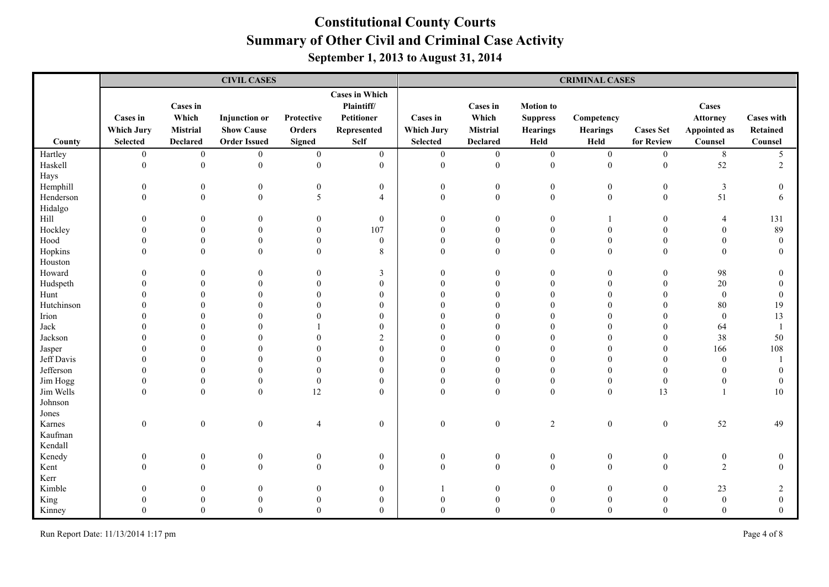|            |                                      |                                      | <b>CIVIL CASES</b>                        |                      |                                                                  |                                      |                                             |                                                        | <b>CRIMINAL CASES</b>         |                  |                                                 |                                      |
|------------|--------------------------------------|--------------------------------------|-------------------------------------------|----------------------|------------------------------------------------------------------|--------------------------------------|---------------------------------------------|--------------------------------------------------------|-------------------------------|------------------|-------------------------------------------------|--------------------------------------|
|            | <b>Cases in</b><br><b>Which Jury</b> | <b>Cases in</b><br>Which<br>Mistrial | <b>Injunction</b> or<br><b>Show Cause</b> | Protective<br>Orders | <b>Cases in Which</b><br>Plaintiff/<br>Petitioner<br>Represented | <b>Cases</b> in<br><b>Which Jury</b> | <b>Cases in</b><br>Which<br><b>Mistrial</b> | <b>Motion</b> to<br><b>Suppress</b><br><b>Hearings</b> | Competency<br><b>Hearings</b> | <b>Cases Set</b> | Cases<br><b>Attorney</b><br><b>Appointed as</b> | <b>Cases with</b><br><b>Retained</b> |
| County     | <b>Selected</b>                      | <b>Declared</b>                      | <b>Order Issued</b>                       | <b>Signed</b>        | <b>Self</b>                                                      | <b>Selected</b>                      | <b>Declared</b>                             | Held                                                   | Held                          | for Review       | Counsel                                         | Counsel                              |
| Hartley    | $\boldsymbol{0}$                     | $\boldsymbol{0}$                     | $\overline{0}$                            | $\mathbf{0}$         | $\overline{0}$                                                   | $\boldsymbol{0}$                     | $\boldsymbol{0}$                            | $\boldsymbol{0}$                                       | $\boldsymbol{0}$              | $\overline{0}$   | 8                                               | 5                                    |
| Haskell    | $\theta$                             | $\boldsymbol{0}$                     | $\mathbf{0}$                              | $\mathbf{0}$         | $\overline{0}$                                                   | $\overline{0}$                       | $\boldsymbol{0}$                            | $\boldsymbol{0}$                                       | $\mathbf{0}$                  | $\boldsymbol{0}$ | 52                                              | $\overline{2}$                       |
| Hays       |                                      |                                      |                                           |                      |                                                                  |                                      |                                             |                                                        |                               |                  |                                                 |                                      |
| Hemphill   | $\Omega$                             | $\theta$                             | $\bf{0}$                                  | $\boldsymbol{0}$     | 0                                                                | $\theta$                             | $\mathbf{0}$                                | $\mathbf{0}$                                           | $\overline{0}$                | $\boldsymbol{0}$ | $\overline{3}$                                  | $\overline{0}$                       |
| Henderson  | $\Omega$                             | $\mathbf{0}$                         | $\mathbf{0}$                              | 5                    | $\overline{4}$                                                   | $\Omega$                             | $\boldsymbol{0}$                            | $\mathbf{0}$                                           | $\overline{0}$                | $\mathbf{0}$     | 51                                              | 6                                    |
| Hidalgo    |                                      |                                      |                                           |                      |                                                                  |                                      |                                             |                                                        |                               |                  |                                                 |                                      |
| $\rm Hill$ |                                      | $\Omega$                             | $\overline{0}$                            | $\overline{0}$       | $\boldsymbol{0}$                                                 | $\theta$                             | $\mathbf{0}$                                | $\theta$                                               |                               | $\boldsymbol{0}$ | $\overline{4}$                                  | 131                                  |
| Hockley    |                                      | $\Omega$                             | $\theta$                                  | $\theta$             | 107                                                              | $\theta$                             | $\theta$                                    | $\theta$                                               | $\Omega$                      | $\theta$         | $\Omega$                                        | 89                                   |
| Hood       |                                      | $\Omega$                             | $\theta$                                  | $\Omega$             | $\boldsymbol{0}$                                                 | $\theta$                             | $\mathbf{0}$                                | $\theta$                                               | $\Omega$                      | $\theta$         |                                                 | $\Omega$                             |
| Hopkins    |                                      | $\theta$                             | $\theta$                                  | $\theta$             | 8                                                                | $\theta$                             | $\theta$                                    | $\theta$                                               | $\Omega$                      | $\theta$         | $\Omega$                                        | $\Omega$                             |
| Houston    |                                      |                                      |                                           |                      |                                                                  |                                      |                                             |                                                        |                               |                  |                                                 |                                      |
| Howard     |                                      | $\Omega$                             | $\Omega$                                  | $\theta$             | 3                                                                | $\Omega$                             | $\mathbf{0}$                                | $\mathbf{0}$                                           | $\Omega$                      | $\theta$         | 98                                              | $\boldsymbol{0}$                     |
| Hudspeth   |                                      | $\Omega$                             | $\Omega$                                  | $\Omega$             | $\mathbf{0}$                                                     | $\Omega$                             | $\theta$                                    | $\Omega$                                               | $\Omega$                      | $\Omega$         | 20                                              | $\theta$                             |
| Hunt       |                                      |                                      | $\Omega$                                  |                      | $\theta$                                                         | $\Omega$                             | $\Omega$                                    | $\Omega$                                               |                               | $\Omega$         | $\boldsymbol{0}$                                | $\theta$                             |
| Hutchinson |                                      |                                      |                                           |                      | $\mathbf{0}$                                                     | $\Omega$                             | $\Omega$                                    | $\Omega$                                               |                               | $\Omega$         | 80                                              | 19                                   |
| Irion      |                                      |                                      |                                           |                      | $\overline{0}$                                                   |                                      | $\Omega$                                    |                                                        |                               | $\Omega$         | $\mathbf{0}$                                    | 13                                   |
| Jack       |                                      |                                      |                                           |                      | $\Omega$                                                         | $\Omega$                             | $\Omega$                                    | $\Omega$                                               |                               | $\Omega$         | 64                                              |                                      |
| Jackson    |                                      |                                      | $\Omega$                                  |                      | $\overline{2}$                                                   | $\Omega$                             | $\Omega$                                    | $\Omega$                                               |                               | $\theta$         | 38                                              | 50                                   |
| Jasper     |                                      | $\Omega$                             | $\Omega$                                  |                      | $\Omega$                                                         | $\Omega$                             | $\Omega$                                    | $\Omega$                                               |                               | $\theta$         | 166                                             | 108                                  |
| Jeff Davis |                                      | $\Omega$                             | $\Omega$                                  | $\Omega$             | $\mathbf{0}$                                                     | $\theta$                             | $\Omega$                                    | $\Omega$                                               |                               | $\theta$         | $\theta$                                        |                                      |
| Jefferson  |                                      |                                      | $\Omega$                                  | $\theta$             | $\boldsymbol{0}$                                                 | $\Omega$                             | $\theta$                                    | $\Omega$                                               |                               | $\mathbf{0}$     |                                                 | $\bf{0}$                             |
| Jim Hogg   |                                      | $\theta$                             | $\overline{0}$                            | $\boldsymbol{0}$     | $\mathbf{0}$                                                     | $\theta$                             | $\theta$                                    | $\mathbf{0}$                                           | $\theta$                      | $\boldsymbol{0}$ | $\theta$                                        | $\overline{0}$                       |
| Jim Wells  |                                      | $\theta$                             | $\mathbf{0}$                              | 12                   | $\mathbf{0}$                                                     | $\mathbf{0}$                         | $\boldsymbol{0}$                            | $\theta$                                               | $\boldsymbol{0}$              | 13               |                                                 | 10                                   |
| Johnson    |                                      |                                      |                                           |                      |                                                                  |                                      |                                             |                                                        |                               |                  |                                                 |                                      |
| Jones      |                                      |                                      |                                           |                      |                                                                  |                                      |                                             |                                                        |                               |                  |                                                 |                                      |
| Karnes     | $\theta$                             | $\boldsymbol{0}$                     | $\boldsymbol{0}$                          | $\overline{4}$       | $\mathbf{0}$                                                     | $\boldsymbol{0}$                     | $\boldsymbol{0}$                            | $\sqrt{2}$                                             | $\boldsymbol{0}$              | $\boldsymbol{0}$ | 52                                              | 49                                   |
| Kaufman    |                                      |                                      |                                           |                      |                                                                  |                                      |                                             |                                                        |                               |                  |                                                 |                                      |
| Kendall    |                                      |                                      |                                           |                      |                                                                  |                                      |                                             |                                                        |                               |                  |                                                 |                                      |
| Kenedy     | $\theta$                             | $\theta$                             | $\theta$                                  | $\boldsymbol{0}$     | $\mathbf{0}$                                                     | $\theta$                             | $\mathbf{0}$                                | $\boldsymbol{0}$                                       | $\overline{0}$                | $\boldsymbol{0}$ | $\boldsymbol{0}$                                | $\mathbf{0}$                         |
| Kent       | $\Omega$                             | $\Omega$                             | $\theta$                                  | $\mathbf{0}$         | $\boldsymbol{0}$                                                 | $\theta$                             | $\boldsymbol{0}$                            | $\boldsymbol{0}$                                       | $\theta$                      | $\boldsymbol{0}$ | $\overline{2}$                                  | $\theta$                             |
| Kerr       |                                      |                                      |                                           |                      |                                                                  |                                      |                                             |                                                        |                               |                  |                                                 |                                      |
| Kimble     |                                      | $\Omega$                             | $\Omega$                                  |                      | $\overline{0}$                                                   |                                      | $\theta$                                    | $\Omega$                                               | $\Omega$                      | $\mathbf{0}$     | 23                                              | 2                                    |
| King       |                                      |                                      |                                           |                      | $\boldsymbol{0}$                                                 |                                      | $\theta$                                    |                                                        |                               | $\theta$         | $\boldsymbol{0}$                                | $\boldsymbol{0}$                     |
| Kinney     |                                      | $\Omega$                             | $\Omega$                                  |                      | $\Omega$                                                         | $\Omega$                             | $\Omega$                                    | $\Omega$                                               | $\Omega$                      | $\Omega$         | $\Omega$                                        | $\Omega$                             |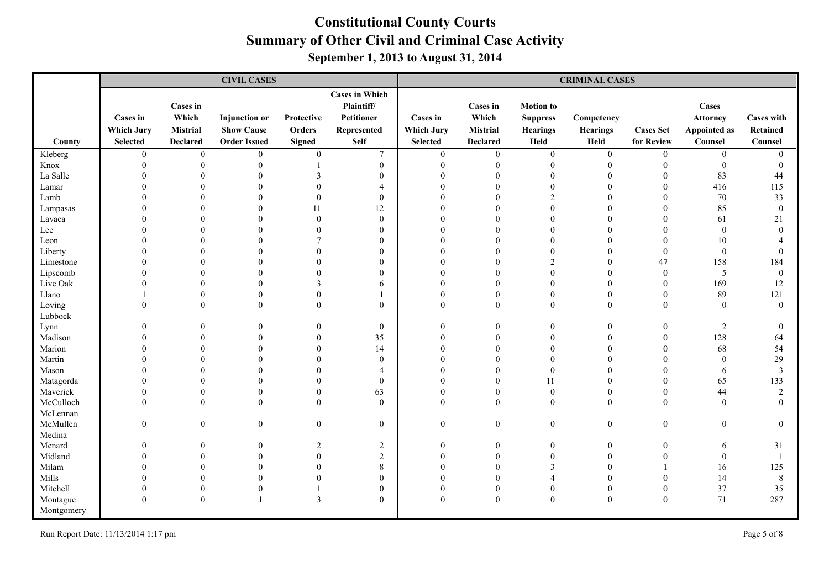|            |                   |                          | <b>CIVIL CASES</b>   |                |                                                   |                   |                   |                                     | <b>CRIMINAL CASES</b> |                  |                          |                   |
|------------|-------------------|--------------------------|----------------------|----------------|---------------------------------------------------|-------------------|-------------------|-------------------------------------|-----------------------|------------------|--------------------------|-------------------|
|            | <b>Cases in</b>   | <b>Cases</b> in<br>Which | <b>Injunction</b> or | Protective     | <b>Cases in Which</b><br>Plaintiff/<br>Petitioner | <b>Cases</b> in   | Cases in<br>Which | <b>Motion</b> to<br><b>Suppress</b> | Competency            |                  | Cases<br><b>Attorney</b> | <b>Cases with</b> |
|            | <b>Which Jury</b> | Mistrial                 | <b>Show Cause</b>    | Orders         | Represented                                       | <b>Which Jury</b> | <b>Mistrial</b>   | <b>Hearings</b>                     | <b>Hearings</b>       | <b>Cases Set</b> | <b>Appointed as</b>      | Retained          |
| County     | <b>Selected</b>   | <b>Declared</b>          | <b>Order Issued</b>  | <b>Signed</b>  | <b>Self</b>                                       | <b>Selected</b>   | <b>Declared</b>   | Held                                | Held                  | for Review       | Counsel                  | Counsel           |
| Kleberg    | $\boldsymbol{0}$  | $\boldsymbol{0}$         | $\overline{0}$       | $\mathbf{0}$   | $\tau$                                            | $\mathbf{0}$      | $\overline{0}$    | $\boldsymbol{0}$                    | $\mathbf{0}$          | $\mathbf{0}$     | $\mathbf{0}$             | $\theta$          |
| Knox       | $\theta$          | $\boldsymbol{0}$         | $\theta$             |                | $\boldsymbol{0}$                                  | $\mathbf{0}$      | $\mathbf{0}$      | $\boldsymbol{0}$                    | $\mathbf{0}$          | $\theta$         | $\boldsymbol{0}$         | $\mathbf{0}$      |
| La Salle   |                   | $\theta$                 | $\Omega$             |                | $\Omega$                                          | $\theta$          | $\Omega$          | $\theta$                            | $\Omega$              | $\Omega$         | 83                       | 44                |
| Lamar      |                   | $\Omega$                 | $\Omega$             |                |                                                   | $\Omega$          | $\Omega$          | $\theta$                            |                       | $\theta$         | 416                      | 115               |
| Lamb       |                   | $\Omega$                 | $\Omega$             |                | $\mathbf{0}$                                      | $\Omega$          | $\Omega$          | $\mathfrak{D}$                      |                       | $\Omega$         | 70                       | 33                |
| Lampasas   |                   |                          | $\Omega$             | 11             | 12                                                |                   | $\Omega$          | $\Omega$                            |                       | $\Omega$         | 85                       | $\mathbf{0}$      |
| Lavaca     |                   |                          | $\Omega$             | $\theta$       | $\mathbf{0}$                                      | $\Omega$          | $\Omega$          | $\Omega$                            |                       | $\Omega$         | 61                       | 21                |
| Lee        |                   | $\Omega$                 | $\Omega$             |                | $\theta$                                          | $\Omega$          | $\Omega$          | $\Omega$                            |                       | $\Omega$         | $\theta$                 | $\Omega$          |
| Leon       |                   | $\Omega$                 | $\Omega$             |                | $\theta$                                          | $\Omega$          | $\Omega$          | $\Omega$                            |                       |                  | 10                       |                   |
| Liberty    |                   | $\theta$                 | $\Omega$             | $\Omega$       | $\theta$                                          | $\theta$          | $\Omega$          | $\theta$                            | $\theta$              | $\mathbf{0}$     | $\mathbf{0}$             | $\Omega$          |
| Limestone  |                   | $\theta$                 | $\Omega$             |                | $\theta$                                          | $\theta$          | $\theta$          | $\overline{2}$                      | $\theta$              | 47               | 158                      | 184               |
| Lipscomb   |                   | $\Omega$                 | $\Omega$             |                | $\theta$                                          | $\Omega$          | $\Omega$          | $\theta$                            | $\Omega$              | $\theta$         | $\sqrt{5}$               | $\mathbf{0}$      |
| Live Oak   |                   | $\Omega$                 | $\Omega$             |                | 6                                                 | $\Omega$          | $\Omega$          | $\Omega$                            | $\Omega$              | $\theta$         | 169                      | 12                |
| Llano      |                   | $\theta$                 | $\theta$             |                |                                                   | $\Omega$          | $\theta$          | $\Omega$                            | $\theta$              | $\theta$         | 89                       | 121               |
| Loving     |                   | $\Omega$                 | $\theta$             | $\Omega$       | $\theta$                                          | $\theta$          | $\theta$          | $\theta$                            | $\Omega$              | $\theta$         | $\theta$                 | $\mathbf{0}$      |
| Lubbock    |                   |                          |                      |                |                                                   |                   |                   |                                     |                       |                  |                          |                   |
| Lynn       |                   | $\Omega$                 | $\Omega$             | $\Omega$       | $\mathbf{0}$                                      | $\theta$          | $\theta$          | $\theta$                            | $\Omega$              | $\theta$         | $\sqrt{2}$               | $\mathbf{0}$      |
| Madison    |                   | $\Omega$                 | $\Omega$             | $\Omega$       | 35                                                | $\Omega$          | $\Omega$          | $\Omega$                            |                       | $\theta$         | 128                      | 64                |
| Marion     |                   | $\Omega$                 | $\Omega$             | $\Omega$       | 14                                                | $\Omega$          | $\Omega$          | $\Omega$                            |                       | $\Omega$         | 68                       | 54                |
| Martin     |                   | $\Omega$                 |                      | $\Omega$       | $\theta$                                          | $\Omega$          | $\Omega$          | $\Omega$                            |                       | $\Omega$         | $\theta$                 | 29                |
| Mason      |                   | $\theta$                 |                      |                | $\overline{\mathcal{A}}$                          | $\Omega$          | $\Omega$          | $\mathbf{0}$                        |                       | $\theta$         | 6                        | $\mathfrak{Z}$    |
| Matagorda  |                   | $\theta$                 | $\Omega$             |                | $\theta$                                          | $\Omega$          | $\Omega$          | 11                                  | $\Omega$              | $\Omega$         | 65                       | 133               |
| Maverick   |                   | $\theta$                 | $\overline{0}$       | $\theta$       | 63                                                | $\theta$          | $\mathbf{0}$      | $\boldsymbol{0}$                    | $\mathbf{0}$          | $\theta$         | 44                       | $\sqrt{2}$        |
| McCulloch  |                   | $\Omega$                 | $\Omega$             | $\Omega$       | $\Omega$                                          | $\Omega$          | $\Omega$          | $\Omega$                            | $\Omega$              | $\Omega$         | $\theta$                 | $\Omega$          |
| McLennan   |                   |                          |                      |                |                                                   |                   |                   |                                     |                       |                  |                          |                   |
| McMullen   | $\Omega$          | $\theta$                 | $\mathbf{0}$         | $\mathbf{0}$   | $\boldsymbol{0}$                                  | $\boldsymbol{0}$  | $\boldsymbol{0}$  | $\boldsymbol{0}$                    | $\mathbf{0}$          | $\boldsymbol{0}$ | $\boldsymbol{0}$         | $\mathbf{0}$      |
| Medina     |                   |                          |                      |                |                                                   |                   |                   |                                     |                       |                  |                          |                   |
| Menard     | $\Omega$          | $\theta$                 | $\theta$             | $\overline{2}$ | $\sqrt{2}$                                        | $\mathbf{0}$      | $\mathbf{0}$      | $\boldsymbol{0}$                    | $\theta$              | $\boldsymbol{0}$ | 6                        | 31                |
| Midland    |                   | $\Omega$                 | $\Omega$             | $\theta$       | $\overline{2}$                                    | $\Omega$          | $\theta$          | $\theta$                            |                       | $\theta$         | $\theta$                 |                   |
| Milam      |                   | $\theta$                 | $\Omega$             | $\Omega$       | 8                                                 | $\Omega$          | $\theta$          | 3                                   |                       |                  | 16                       | 125               |
| Mills      |                   | $\Omega$                 |                      |                | $\Omega$                                          | $\Omega$          | $\Omega$          |                                     |                       | $\Omega$         | 14                       | 8                 |
| Mitchell   |                   | $\theta$                 | $\Omega$             |                | $\boldsymbol{0}$                                  | $\theta$          | $\theta$          | $\theta$                            | $\theta$              | $\boldsymbol{0}$ | 37                       | 35                |
| Montague   |                   | $\mathbf{0}$             |                      | 3              | $\theta$                                          | $\Omega$          | $\theta$          | $\theta$                            | $\theta$              | $\Omega$         | 71                       | 287               |
| Montgomery |                   |                          |                      |                |                                                   |                   |                   |                                     |                       |                  |                          |                   |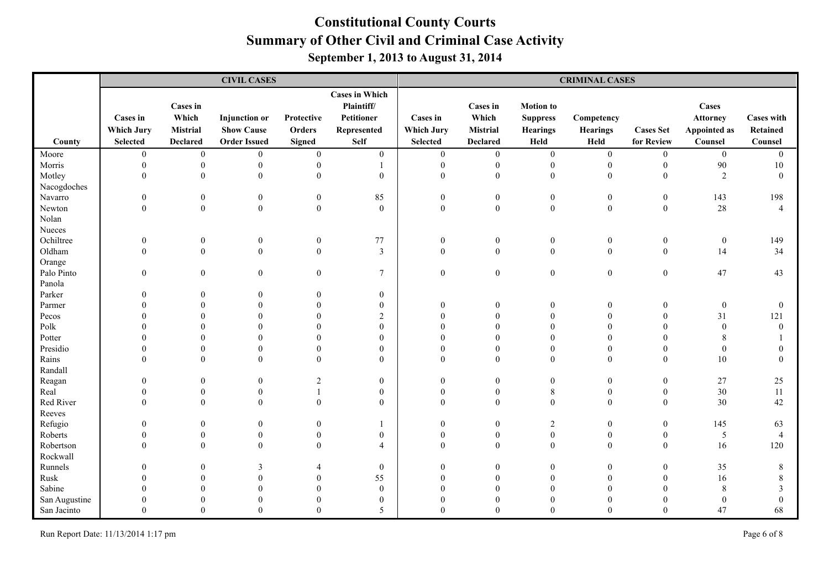|               |                                      |                                      | <b>CIVIL CASES</b>                        |                      |                                                                         |                                      |                                      |                                                        | <b>CRIMINAL CASES</b>         |                  |                                                 |                               |
|---------------|--------------------------------------|--------------------------------------|-------------------------------------------|----------------------|-------------------------------------------------------------------------|--------------------------------------|--------------------------------------|--------------------------------------------------------|-------------------------------|------------------|-------------------------------------------------|-------------------------------|
|               | <b>Cases in</b><br><b>Which Jury</b> | <b>Cases in</b><br>Which<br>Mistrial | <b>Injunction</b> or<br><b>Show Cause</b> | Protective<br>Orders | <b>Cases in Which</b><br>Plaintiff/<br><b>Petitioner</b><br>Represented | <b>Cases</b> in<br><b>Which Jury</b> | <b>Cases in</b><br>Which<br>Mistrial | <b>Motion</b> to<br><b>Suppress</b><br><b>Hearings</b> | Competency<br><b>Hearings</b> | <b>Cases Set</b> | Cases<br><b>Attorney</b><br><b>Appointed as</b> | <b>Cases with</b><br>Retained |
| County        | <b>Selected</b>                      | <b>Declared</b>                      | <b>Order Issued</b>                       | <b>Signed</b>        | <b>Self</b>                                                             | <b>Selected</b>                      | <b>Declared</b>                      | Held                                                   | Held                          | for Review       | Counsel                                         | Counsel                       |
| Moore         | $\overline{0}$                       | $\boldsymbol{0}$                     | $\boldsymbol{0}$                          | $\boldsymbol{0}$     | $\mathbf{0}$                                                            | $\boldsymbol{0}$                     | $\boldsymbol{0}$                     | $\boldsymbol{0}$                                       | $\boldsymbol{0}$              | $\boldsymbol{0}$ | $\boldsymbol{0}$                                | $\overline{0}$                |
| Morris        | $\mathbf{0}$                         | $\boldsymbol{0}$                     | $\boldsymbol{0}$                          | $\boldsymbol{0}$     | 1                                                                       | $\boldsymbol{0}$                     | $\boldsymbol{0}$                     | $\boldsymbol{0}$                                       | $\mathbf{0}$                  | $\boldsymbol{0}$ | $90\,$                                          | $10\,$                        |
| Motley        | $\Omega$                             | $\mathbf{0}$                         | $\mathbf{0}$                              | $\theta$             | $\overline{0}$                                                          | $\theta$                             | $\mathbf{0}$                         | $\mathbf{0}$                                           | $\theta$                      | $\mathbf{0}$     | $\overline{2}$                                  | $\theta$                      |
| Nacogdoches   |                                      |                                      |                                           |                      |                                                                         |                                      |                                      |                                                        |                               |                  |                                                 |                               |
| Navarro       | $\mathbf{0}$                         | $\theta$                             | $\boldsymbol{0}$                          | $\boldsymbol{0}$     | 85                                                                      | $\mathbf{0}$                         | $\boldsymbol{0}$                     | $\boldsymbol{0}$                                       | $\mathbf{0}$                  | $\boldsymbol{0}$ | 143                                             | 198                           |
| Newton        | $\theta$                             | $\boldsymbol{0}$                     | $\boldsymbol{0}$                          | $\mathbf{0}$         | $\boldsymbol{0}$                                                        | $\theta$                             | $\boldsymbol{0}$                     | $\boldsymbol{0}$                                       | $\mathbf{0}$                  | $\boldsymbol{0}$ | $28\,$                                          | $\overline{4}$                |
| Nolan         |                                      |                                      |                                           |                      |                                                                         |                                      |                                      |                                                        |                               |                  |                                                 |                               |
| Nueces        |                                      |                                      |                                           |                      |                                                                         |                                      |                                      |                                                        |                               |                  |                                                 |                               |
| Ochiltree     | $\theta$                             | $\overline{0}$                       | $\mathbf{0}$                              | $\boldsymbol{0}$     | 77                                                                      | $\theta$                             | $\boldsymbol{0}$                     | $\mathbf{0}$                                           | $\mathbf{0}$                  | $\mathbf{0}$     | $\boldsymbol{0}$                                | 149                           |
| Oldham        | $\Omega$                             | $\Omega$                             | $\theta$                                  | $\theta$             | $\mathfrak{Z}$                                                          | $\Omega$                             | $\mathbf{0}$                         | $\theta$                                               | $\theta$                      | $\mathbf{0}$     | 14                                              | 34                            |
| Orange        |                                      |                                      |                                           |                      |                                                                         |                                      |                                      |                                                        |                               |                  |                                                 |                               |
| Palo Pinto    | $\Omega$                             | $\theta$                             | $\mathbf{0}$                              | $\overline{0}$       | 7                                                                       | $\mathbf{0}$                         | $\boldsymbol{0}$                     | $\bf{0}$                                               | $\mathbf{0}$                  | $\boldsymbol{0}$ | $47\,$                                          | 43                            |
| Panola        |                                      |                                      |                                           |                      |                                                                         |                                      |                                      |                                                        |                               |                  |                                                 |                               |
| Parker        |                                      | $\Omega$                             | $\Omega$                                  | $\Omega$             | $\boldsymbol{0}$                                                        |                                      |                                      |                                                        |                               |                  |                                                 |                               |
| Parmer        |                                      |                                      |                                           | $\theta$             | $\boldsymbol{0}$                                                        | 0                                    | $\theta$                             | $\boldsymbol{0}$                                       | $\Omega$                      | $\bf{0}$         | $\boldsymbol{0}$                                | $\boldsymbol{0}$              |
| Pecos         |                                      |                                      |                                           |                      | $\overline{c}$                                                          |                                      |                                      | $\theta$                                               |                               | $\overline{0}$   | 31                                              | 121                           |
| Polk          |                                      |                                      |                                           |                      | $\boldsymbol{0}$                                                        | $\Omega$                             |                                      | $\Omega$                                               |                               | $\theta$         | $\theta$                                        | $\mathbf{0}$                  |
| Potter        |                                      | $\Omega$                             | $\Omega$                                  | $\Omega$             | $\mathbf{0}$                                                            |                                      | $\Omega$                             | $\Omega$                                               | $\Omega$                      | $\theta$         | 8                                               |                               |
| Presidio      |                                      | $\Omega$                             | $\Omega$                                  | $\Omega$             | $\mathbf{0}$                                                            | $\Omega$                             | $\Omega$                             | $\theta$                                               | $\Omega$                      | $\mathbf{0}$     | $\mathbf{0}$                                    | 0                             |
| Rains         |                                      | $\Omega$                             | $\Omega$                                  | $\Omega$             | $\mathbf{0}$                                                            | $\Omega$                             | $\theta$                             | $\theta$                                               | $\Omega$                      | $\theta$         | $10\,$                                          | $\theta$                      |
| Randall       |                                      |                                      |                                           |                      |                                                                         |                                      |                                      |                                                        |                               |                  |                                                 |                               |
| Reagan        |                                      | $\theta$                             | $\theta$                                  | $\overline{2}$       | $\boldsymbol{0}$                                                        | $\Omega$                             | $\Omega$                             | $\theta$                                               | $\theta$                      | $\bf{0}$         | $27\,$                                          | 25                            |
| Real          |                                      | $\theta$                             | $\boldsymbol{0}$                          |                      | $\boldsymbol{0}$                                                        | $\Omega$                             | $\mathbf{0}$                         | $\,$ 8 $\,$                                            | $\theta$                      | $\bf{0}$         | 30                                              | 11                            |
| Red River     | $\Omega$                             | $\theta$                             | $\mathbf{0}$                              | $\boldsymbol{0}$     | $\mathbf{0}$                                                            | $\theta$                             | $\theta$                             | $\theta$                                               | $\theta$                      | $\theta$         | 30                                              | 42                            |
| Reeves        |                                      |                                      |                                           |                      |                                                                         |                                      |                                      |                                                        |                               |                  |                                                 |                               |
| Refugio       |                                      | $\Omega$                             | $\boldsymbol{0}$                          | $\overline{0}$       |                                                                         | $\theta$                             | $\boldsymbol{0}$                     | $\overline{c}$                                         | $\mathbf{0}$                  | $\boldsymbol{0}$ | 145                                             | 63                            |
| Roberts       |                                      | $\Omega$                             | $\theta$                                  | $\theta$             | $\mathbf{0}$                                                            | $\Omega$                             | $\mathbf{0}$                         | $\boldsymbol{0}$                                       | $\theta$                      | $\boldsymbol{0}$ | $\sqrt{5}$                                      | $\overline{4}$                |
| Robertson     |                                      | $\Omega$                             | $\theta$                                  | $\Omega$             | $\overline{4}$                                                          | $\Omega$                             | $\theta$                             | $\theta$                                               | $\theta$                      | $\mathbf{0}$     | 16                                              | 120                           |
| Rockwall      |                                      |                                      |                                           |                      |                                                                         |                                      |                                      |                                                        |                               |                  |                                                 |                               |
| Runnels       |                                      | $\theta$                             | 3                                         |                      | $\boldsymbol{0}$                                                        | $\theta$                             | $\theta$                             | $\boldsymbol{0}$                                       | 0                             | $\bf{0}$         | 35                                              | 8                             |
| Rusk          |                                      | $\Omega$                             | $\Omega$                                  | $\theta$             | 55                                                                      | $\Omega$                             | $\Omega$                             | $\Omega$                                               | $\Omega$                      | $\boldsymbol{0}$ | 16                                              | 8                             |
| Sabine        |                                      | $\Omega$                             | $\Omega$                                  | $\Omega$             | $\boldsymbol{0}$                                                        | $\theta$                             | $\Omega$                             | $\Omega$                                               | $\Omega$                      | $\theta$         | 8                                               | 3                             |
| San Augustine |                                      | $\Omega$                             |                                           |                      | $\boldsymbol{0}$                                                        |                                      |                                      | $\Omega$                                               |                               | $\theta$         | $\boldsymbol{0}$                                | $\theta$                      |
| San Jacinto   | $\Omega$                             | $\Omega$                             | $\Omega$                                  | $\Omega$             | 5                                                                       | $\Omega$                             | $\Omega$                             | $\Omega$                                               | $\Omega$                      | $\Omega$         | 47                                              | 68                            |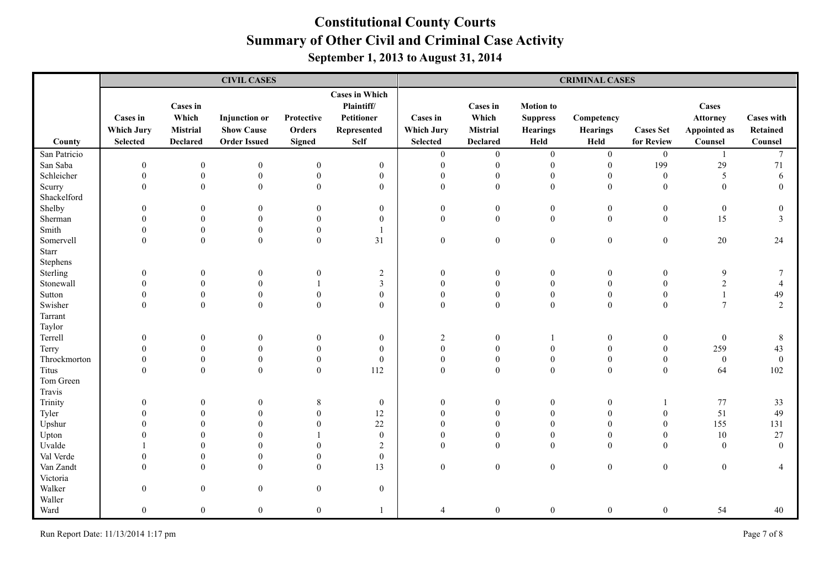|              |                                                         |                                                         | <b>CIVIL CASES</b>                                               |                                       |                                                                                 |                                                  |                                                                |                                                                | <b>CRIMINAL CASES</b>                 |                                |                                                     |                                          |
|--------------|---------------------------------------------------------|---------------------------------------------------------|------------------------------------------------------------------|---------------------------------------|---------------------------------------------------------------------------------|--------------------------------------------------|----------------------------------------------------------------|----------------------------------------------------------------|---------------------------------------|--------------------------------|-----------------------------------------------------|------------------------------------------|
| County       | <b>Cases in</b><br><b>Which Jury</b><br><b>Selected</b> | <b>Cases in</b><br>Which<br>Mistrial<br><b>Declared</b> | <b>Injunction</b> or<br><b>Show Cause</b><br><b>Order Issued</b> | Protective<br>Orders<br><b>Signed</b> | <b>Cases in Which</b><br>Plaintiff/<br>Petitioner<br>Represented<br><b>Self</b> | Cases in<br><b>Which Jury</b><br><b>Selected</b> | <b>Cases</b> in<br>Which<br><b>Mistrial</b><br><b>Declared</b> | <b>Motion</b> to<br><b>Suppress</b><br><b>Hearings</b><br>Held | Competency<br><b>Hearings</b><br>Held | <b>Cases Set</b><br>for Review | Cases<br><b>Attorney</b><br>Appointed as<br>Counsel | <b>Cases with</b><br>Retained<br>Counsel |
| San Patricio |                                                         |                                                         |                                                                  |                                       |                                                                                 | $\boldsymbol{0}$                                 | $\boldsymbol{0}$                                               | $\boldsymbol{0}$                                               | $\boldsymbol{0}$                      | $\boldsymbol{0}$               |                                                     | $\tau$                                   |
| San Saba     | $\theta$                                                | $\boldsymbol{0}$                                        | $\boldsymbol{0}$                                                 | $\boldsymbol{0}$                      | $\mathbf{0}$                                                                    | $\overline{0}$                                   | $\mathbf{0}$                                                   | $\boldsymbol{0}$                                               | $\mathbf{0}$                          | 199                            | 29                                                  | $71\,$                                   |
| Schleicher   | $\theta$                                                | $\boldsymbol{0}$                                        | $\boldsymbol{0}$                                                 | $\boldsymbol{0}$                      | $\boldsymbol{0}$                                                                | $\boldsymbol{0}$                                 | $\boldsymbol{0}$                                               | $\boldsymbol{0}$                                               | $\overline{0}$                        | $\boldsymbol{0}$               | 5                                                   | 6                                        |
| Scurry       | $\Omega$                                                | $\theta$                                                | $\mathbf{0}$                                                     | $\theta$                              | $\mathbf{0}$                                                                    | $\theta$                                         | $\theta$                                                       | $\theta$                                                       | $\theta$                              | $\theta$                       | $\boldsymbol{0}$                                    | $\Omega$                                 |
| Shackelford  |                                                         |                                                         |                                                                  |                                       |                                                                                 |                                                  |                                                                |                                                                |                                       |                                |                                                     |                                          |
| Shelby       | $\theta$                                                | $\theta$                                                | $\boldsymbol{0}$                                                 | $\mathbf{0}$                          | $\mathbf{0}$                                                                    | $\mathbf{0}$                                     | $\boldsymbol{0}$                                               | $\boldsymbol{0}$                                               | $\boldsymbol{0}$                      | $\boldsymbol{0}$               | $\boldsymbol{0}$                                    | 0                                        |
| Sherman      |                                                         | $\Omega$                                                | $\theta$                                                         | $\theta$                              | $\mathbf{0}$                                                                    | $\theta$                                         | $\boldsymbol{0}$                                               | $\mathbf{0}$                                                   | $\theta$                              | $\mathbf{0}$                   | 15                                                  | 3                                        |
| Smith        |                                                         | $\overline{0}$                                          | $\theta$                                                         | $\boldsymbol{0}$                      |                                                                                 |                                                  |                                                                |                                                                |                                       |                                |                                                     |                                          |
| Somervell    | $\Omega$                                                | $\boldsymbol{0}$                                        | $\mathbf{0}$                                                     | $\mathbf{0}$                          | 31                                                                              | $\mathbf{0}$                                     | $\boldsymbol{0}$                                               | $\boldsymbol{0}$                                               | $\mathbf{0}$                          | $\boldsymbol{0}$               | $20\,$                                              | 24                                       |
| Starr        |                                                         |                                                         |                                                                  |                                       |                                                                                 |                                                  |                                                                |                                                                |                                       |                                |                                                     |                                          |
| Stephens     |                                                         |                                                         |                                                                  |                                       |                                                                                 |                                                  |                                                                |                                                                |                                       |                                |                                                     |                                          |
| Sterling     | $\Omega$                                                | $\theta$                                                | $\theta$                                                         | $\theta$                              | $\overline{c}$                                                                  | $\theta$                                         | $\Omega$                                                       | $\theta$                                                       | $\theta$                              | $\theta$                       | 9                                                   | 7                                        |
| Stonewall    |                                                         | $\Omega$                                                | $\theta$                                                         |                                       | $\mathfrak{Z}$                                                                  | $\Omega$                                         | $\Omega$                                                       | $\mathbf{0}$                                                   | $\theta$                              | $\theta$                       | $\overline{2}$                                      | $\overline{4}$                           |
| Sutton       |                                                         | $\Omega$                                                | $\mathbf{0}$                                                     | $\theta$                              | $\boldsymbol{0}$                                                                | $\theta$                                         | $\mathbf{0}$                                                   | $\boldsymbol{0}$                                               | $\mathbf{0}$                          | $\boldsymbol{0}$               |                                                     | 49                                       |
| Swisher      | $\Omega$                                                | $\theta$                                                | $\mathbf{0}$                                                     | $\theta$                              | $\overline{0}$                                                                  | $\theta$                                         | $\boldsymbol{0}$                                               | $\mathbf{0}$                                                   | $\theta$                              | $\theta$                       | $7\phantom{.0}$                                     | 2                                        |
| Tarrant      |                                                         |                                                         |                                                                  |                                       |                                                                                 |                                                  |                                                                |                                                                |                                       |                                |                                                     |                                          |
| Taylor       |                                                         |                                                         |                                                                  |                                       |                                                                                 |                                                  |                                                                |                                                                |                                       |                                |                                                     |                                          |
| Terrell      | $\theta$                                                | $\theta$                                                | $\mathbf{0}$                                                     | $\overline{0}$                        | $\boldsymbol{0}$                                                                | 2                                                | $\mathbf{0}$                                                   |                                                                | $\mathbf{0}$                          | $\mathbf{0}$                   | $\mathbf{0}$                                        | 8                                        |
| Terry        |                                                         | $\Omega$                                                | $\theta$                                                         | $\boldsymbol{0}$                      | $\boldsymbol{0}$                                                                | $\mathbf{0}$                                     | $\boldsymbol{0}$                                               | $\mathbf{0}$                                                   | $\theta$                              | $\boldsymbol{0}$               | 259                                                 | 43                                       |
| Throckmorton |                                                         | $\overline{0}$                                          | $\boldsymbol{0}$                                                 | $\boldsymbol{0}$                      | $\mathbf{0}$                                                                    | $\mathbf{0}$                                     | $\boldsymbol{0}$                                               | $\boldsymbol{0}$                                               | $\mathbf{0}$                          | $\boldsymbol{0}$               | $\boldsymbol{0}$                                    | $\mathbf{0}$                             |
| Titus        | $\Omega$                                                | $\boldsymbol{0}$                                        | $\mathbf{0}$                                                     | $\boldsymbol{0}$                      | 112                                                                             | $\mathbf{0}$                                     | $\mathbf{0}$                                                   | $\boldsymbol{0}$                                               | $\overline{0}$                        | $\boldsymbol{0}$               | 64                                                  | 102                                      |
| Tom Green    |                                                         |                                                         |                                                                  |                                       |                                                                                 |                                                  |                                                                |                                                                |                                       |                                |                                                     |                                          |
| Travis       |                                                         |                                                         |                                                                  |                                       |                                                                                 |                                                  |                                                                |                                                                |                                       |                                |                                                     |                                          |
| Trinity      | $\theta$                                                | $\theta$                                                | $\overline{0}$                                                   | $\,$ 8 $\,$                           | $\mathbf{0}$                                                                    | 0                                                | $\boldsymbol{0}$                                               | $\boldsymbol{0}$                                               | $\mathbf{0}$                          |                                | 77                                                  | 33                                       |
| Tyler        |                                                         | $\Omega$                                                | $\theta$                                                         | $\mathbf{0}$                          | 12                                                                              | $\theta$                                         | $\theta$                                                       | $\mathbf{0}$                                                   | $\theta$                              | $\boldsymbol{0}$               | 51                                                  | 49                                       |
| Upshur       |                                                         |                                                         | $\Omega$                                                         | $\theta$                              | 22                                                                              | $\Omega$                                         | $\Omega$                                                       | $\Omega$                                                       | $\Omega$                              | $\overline{0}$                 | 155                                                 | 131                                      |
| Upton        |                                                         | $\Omega$                                                | $\theta$                                                         |                                       | $\boldsymbol{0}$                                                                | $\Omega$                                         | $\theta$                                                       | $\mathbf{0}$                                                   | $\theta$                              | $\boldsymbol{0}$               | $10\,$                                              | 27                                       |
| Uvalde       |                                                         | $\Omega$                                                | $\Omega$                                                         | $\Omega$                              | $\overline{c}$                                                                  | $\Omega$                                         | $\Omega$                                                       | $\Omega$                                                       | $\Omega$                              | $\Omega$                       | $\theta$                                            | $\Omega$                                 |
| Val Verde    |                                                         | $\theta$                                                | $\theta$                                                         | $\theta$                              | $\boldsymbol{0}$                                                                |                                                  |                                                                |                                                                |                                       |                                |                                                     |                                          |
| Van Zandt    | $\Omega$                                                | $\Omega$                                                | $\mathbf{0}$                                                     | $\theta$                              | 13                                                                              | $\mathbf{0}$                                     | $\boldsymbol{0}$                                               | $\boldsymbol{0}$                                               | $\boldsymbol{0}$                      | $\boldsymbol{0}$               | $\boldsymbol{0}$                                    | 4                                        |
| Victoria     |                                                         |                                                         |                                                                  |                                       |                                                                                 |                                                  |                                                                |                                                                |                                       |                                |                                                     |                                          |
| Walker       | $\Omega$                                                | $\mathbf{0}$                                            | $\boldsymbol{0}$                                                 | $\boldsymbol{0}$                      | $\boldsymbol{0}$                                                                |                                                  |                                                                |                                                                |                                       |                                |                                                     |                                          |
| Waller       |                                                         |                                                         |                                                                  |                                       |                                                                                 |                                                  |                                                                |                                                                |                                       |                                |                                                     |                                          |
| Ward         | $\mathbf{0}$                                            | $\overline{0}$                                          | $\mathbf{0}$                                                     | $\mathbf{0}$                          | $\mathbf{1}$                                                                    |                                                  | $\boldsymbol{0}$                                               | $\overline{0}$                                                 | $\overline{0}$                        | $\mathbf{0}$                   | 54                                                  | 40                                       |